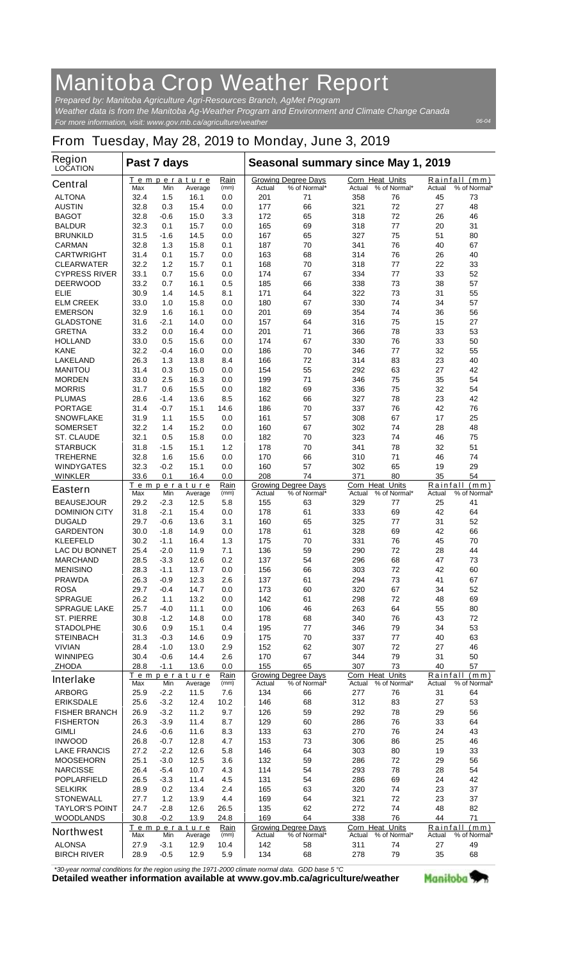## **Manitoba Crop Weather Report**

*For more information, visit: www.gov.mb.ca/agriculture/weather Prepared by: Manitoba Agriculture Agri-Resources Branch, AgMet Program Weather data is from the Manitoba Ag-Weather Program and Environment and Climate Change Canada*

## **From Tuesday, May 28, 2019 to Monday, June 3, 2019**

| <b>Region</b><br><b>LOCATION</b> | Past 7 days |        |                               |              | Seasonal summary since May 1, 2019 |                                            |                                  |              |          |                               |
|----------------------------------|-------------|--------|-------------------------------|--------------|------------------------------------|--------------------------------------------|----------------------------------|--------------|----------|-------------------------------|
| <b>Central</b>                   | Max         | Min    | <u>Temperature</u><br>Average | Rain<br>(mm) | Actual                             | <b>Growing Degree Days</b><br>% of Normal* | <b>Corn Heat Units</b><br>Actual | % of Normal* | Actual   | Rainfall (mm)<br>% of Normal* |
| <b>ALTONA</b>                    | 32.4        | 1.5    | 16.1                          | 0.0          | 201                                | 71                                         | 358                              | 76           | 45       | 73                            |
| <b>AUSTIN</b>                    | 32.8        | 0.3    | 15.4                          | 0.0          | 177                                | 66                                         | 321                              | 72           | 27       | 48                            |
| <b>BAGOT</b>                     | 32.8        | $-0.6$ | 15.0                          | 3.3          | 172                                | 65                                         | 318                              | 72           | 26       | 46                            |
| <b>BALDUR</b>                    | 32.3        | 0.1    | 15.7                          | 0.0          | 165                                | 69                                         | 318                              | 77           | 20       | 31                            |
| <b>BRUNKILD</b>                  | 31.5        | -1.6   | 14.5                          | 0.0          | 167                                | 65                                         | 327                              | 75           | 51       | 80                            |
| <b>CARMAN</b>                    | 32.8        | 1.3    | 15.8                          | 0.1          | 187                                | 70                                         | 341                              | 76           | 40       | 67                            |
| <b>CARTWRIGHT</b>                | 31.4        | 0.1    | 15.7                          | 0.0          | 163                                | 68                                         | 314                              | 76           | 26       | 40                            |
| <b>CLEARWATER</b>                | 32.2        | 1.2    | 15.7                          | 0.1          | 168                                | 70                                         | 318                              | 77           | 22       | 33                            |
| <b>CYPRESS RIVER</b>             | 33.1        | 0.7    | 15.6                          | 0.0          | 174                                | 67                                         | 334                              | 77           | 33       | 52                            |
| <b>DEERWOOD</b>                  | 33.2        | 0.7    | 16.1                          | 0.5          | 185                                | 66                                         | 338                              | 73           | 38       | 57                            |
| ELIE                             | 30.9        | 1.4    | 14.5                          | 8.1          | 171                                | 64                                         | 322                              | 73           | 31       | 55                            |
| <b>ELM CREEK</b>                 | 33.0        | 1.0    | 15.8                          | 0.0          | 180                                | 67                                         | 330                              | 74           | 34       | 57                            |
| <b>EMERSON</b>                   | 32.9        | 1.6    | 16.1                          | 0.0          | 201                                | 69                                         | 354                              | 74           | 36       | 56                            |
| <b>GLADSTONE</b>                 | 31.6        | -2.1   | 14.0                          | 0.0          | 157                                | 64                                         | 316                              | 75           | 15       | 27                            |
| <b>GRETNA</b>                    | 33.2        | 0.0    | 16.4                          | 0.0          | 201                                | 71                                         | 366                              | 78           | 33       | 53                            |
| <b>HOLLAND</b>                   | 33.0        | 0.5    | 15.6                          | 0.0          | 174                                | 67                                         | 330                              | 76           | 33       | 50                            |
| <b>KANE</b>                      | 32.2        | -0.4   | 16.0                          | 0.0          | 186                                | 70                                         | 346                              | 77           | 32       | 55                            |
| <b>LAKELAND</b>                  | 26.3        | 1.3    | 13.8                          | 8.4          | 166                                | 72                                         | 314                              | 83           | 23       | 40                            |
| <b>MANITOU</b>                   | 31.4        | 0.3    | 15.0                          | 0.0          | 154                                | 55                                         | 292                              | 63           | 27       | 42                            |
| <b>MORDEN</b>                    | 33.0        | 2.5    | 16.3                          | 0.0          | 199                                | 71                                         | 346                              | 75           | 35       | 54                            |
| <b>MORRIS</b>                    | 31.7        | 0.6    | 15.5                          | 0.0          | 182                                | 69                                         | 336                              | 75           | 32       | 54                            |
| <b>PLUMAS</b>                    | 28.6        | -1.4   | 13.6                          | 8.5          | 162                                | 66                                         | 327                              | 78           | 23       | 42                            |
| <b>PORTAGE</b>                   | 31.4        | -0.7   | 15.1                          | 14.6         | 186                                | 70                                         | 337                              | 76           | 42       | 76                            |
| <b>SNOWFLAKE</b>                 | 31.9        | 1.1    | 15.5                          | 0.0          | 161                                | 57                                         | 308                              | 67           | 17       | 25                            |
| <b>SOMERSET</b>                  | 32.2        | 1.4    | 15.2                          | 0.0          | 160                                | 67                                         | 302                              | 74           | 28       | 48                            |
| <b>ST. CLAUDE</b>                | 32.1        | 0.5    | 15.8                          | 0.0          | 182                                | 70                                         | 323                              | 74           | 46       | 75                            |
| <b>STARBUCK</b>                  | 31.8        | -1.5   | 15.1                          | 1.2          | 178                                | 70                                         | 341                              | 78           | 32       | 51                            |
| <b>TREHERNE</b>                  | 32.8        | 1.6    | 15.6                          | 0.0          | 170                                | 66                                         | 310                              | 71           | 46       | 74                            |
| <b>WINDYGATES</b>                | 32.3        | $-0.2$ | 15.1                          | 0.0          | 160                                | 57                                         | 302                              | 65           | 19       | 29                            |
| <b>WINKLER</b>                   | 33.6        | 0.1    | 16.4                          | 0.0          | 208                                | 74                                         | 371                              | 80           | 35       | 54                            |
| <b>Eastern</b>                   | Max         | Min    | Temperature<br>Average        | Rain<br>(mm) | Actual                             | <b>Growing Degree Days</b><br>% of Normal* | <b>Corn Heat Units</b><br>Actual | % of Normal* | Actual   | Rainfall (mm)<br>% of Normal* |
| <b>BEAUSEJOUR</b>                | 29.2        | $-2.3$ | 12.5                          | 5.8          | 155                                | 63                                         | 329                              | 77           | 25       | 41                            |
| <b>DOMINION CITY</b>             | 31.8        | $-2.1$ | 15.4                          | 0.0          | 178                                | 61                                         | 333                              | 69           | 42       | 64                            |
| <b>DUGALD</b>                    | 29.7        | $-0.6$ | 13.6                          | 3.1          | 160                                | 65                                         | 325                              | 77           | 31       | 52                            |
| <b>GARDENTON</b>                 | 30.0        | $-1.8$ | 14.9                          | 0.0          | 178                                | 61                                         | 328                              | 69           | 42       | 66                            |
| <b>KLEEFELD</b>                  | 30.2        | $-1.1$ | 16.4                          | 1.3          | 175                                | 70                                         | 331                              | 76           | 45       | 70                            |
| <b>LAC DU BONNET</b>             | 25.4        | $-2.0$ | 11.9                          | 7.1          | 136                                | 59                                         | 290                              | 72           | 28       | 44                            |
| <b>MARCHAND</b>                  | 28.5        | $-3.3$ | 12.6                          | 0.2          | 137                                | 54                                         | 296                              | 68           | 47       | 73                            |
| <b>MENISINO</b>                  | 28.3        | $-1.1$ | 13.7                          | 0.0          | 156                                | 66                                         | 303                              | 72           | 42       | 60                            |
| <b>PRAWDA</b>                    | 26.3        | -0.9   | 12.3                          | 2.6          | 137                                | 61                                         | 294                              | 73           | 41       | 67                            |
| <b>ROSA</b>                      | 29.7        | -0.4   | 14.7                          | 0.0          | 173                                | 60                                         | 320                              | 67           | 34       | 52                            |
| <b>SPRAGUE</b>                   | 26.2        | 1.1    | 13.2                          | 0.0          | 142                                | 61                                         | 298                              | 72           | 48       | 69                            |
| <b>SPRAGUE LAKE</b>              | 25.7        | $-4.0$ | 11.1                          | 0.0          | 106                                | 46                                         | 263                              | 64           | 55       | 80                            |
| <b>ST. PIERRE</b>                | 30.8        | $-1.2$ | 14.8                          | 0.0          | 178                                | 68                                         | 340                              | 76           | 43       | 72                            |
| <b>STADOLPHE</b>                 | 30.6        | 0.9    | 15.1                          | 0.4          | 195                                | 77                                         | 346                              | 79           | 34       | 53                            |
| <b>STEINBACH</b>                 | 31.3        | $-0.3$ | 14.6                          | 0.9          | 175                                | 70                                         | 337                              | 77           | 40       | 63                            |
| <b>VIVIAN</b>                    | 28.4        | $-1.0$ | 13.0                          | 2.9          | 152                                | 62                                         | 307                              | 72           | 27       | 46                            |
| <b>WINNIPEG</b>                  | 30.4        | $-0.6$ | 14.4                          | 2.6          | 170                                | 67                                         | 344                              | 79           | 31       | 50                            |
| <b>ZHODA</b>                     | 28.8        | $-1.1$ | 13.6                          | 0.0          | 155                                | 65                                         | 307                              | 73           | 40       | 57                            |
|                                  |             |        | Temperature                   | Rain         |                                    | <b>Growing Degree Days</b>                 | Corn Heat Units                  |              | Rainfall | (mm)                          |
| <b>Interlake</b>                 | Max         | Min    | Average                       | (mm)         | Actual                             | % of Normal*                               | Actual                           | % of Normal* | Actual   | % of Normal*                  |
| <b>ARBORG</b>                    | 25.9        | $-2.2$ | 11.5                          | 7.6          | 134                                | 66                                         | 277                              | 76           | 31       | 64                            |
| <b>ERIKSDALE</b>                 | 25.6        | $-3.2$ | 12.4                          | 10.2         | 146                                | 68                                         | 312                              | 83           | 27       | 53                            |
| <b>FISHER BRANCH</b>             | 26.9        | $-3.2$ | 11.2                          | 9.7          | 126                                | 59                                         | 292                              | 78           | 29       | 56                            |
| <b>FISHERTON</b>                 | 26.3        | $-3.9$ | 11.4                          | 8.7          | 129                                | 60                                         | 286                              | 76           | 33       | 64                            |
| <b>GIMLI</b>                     | 24.6        | $-0.6$ | 11.6                          | 8.3          | 133                                | 63                                         | 270                              | 76           | 24       | 43                            |
| <b>INWOOD</b>                    | 26.8        | $-0.7$ | 12.8                          | 4.7          | 153                                | 73                                         | 306                              | 86           | 25       | 46                            |
| <b>LAKE FRANCIS</b>              | 27.2        | $-2.2$ | 12.6                          | 5.8          | 146                                | 64                                         | 303                              | 80           | 19       | 33                            |
| <b>MOOSEHORN</b>                 | 25.1        | $-3.0$ | 12.5                          | 3.6          | 132                                | 59                                         | 286                              | 72           | 29       | 56                            |
| <b>NARCISSE</b>                  | 26.4        | $-5.4$ | 10.7                          | 4.3          | 114                                | 54                                         | 293                              | 78           | 28       | 54                            |
| <b>POPLARFIELD</b>               | 26.5        | $-3.3$ | 11.4                          | 4.5          | 131                                | 54                                         | 286                              | 69           | 24       | 42                            |
| <b>SELKIRK</b>                   | 28.9        | 0.2    | 13.4                          | 2.4          | 165                                | 63                                         | 320                              | 74           | 23       | 37                            |
| <b>STONEWALL</b>                 | 27.7        | 1.2    | 13.9                          | 4.4          | 169                                | 64                                         | 321                              | 72           | 23       | 37                            |
| <b>TAYLOR'S POINT</b>            | 24.7        | $-2.8$ | 12.6                          | 26.5         | 135                                | 62                                         | 272                              | 74           | 48       | 82                            |
| <b>WOODLANDS</b>                 | 30.8        | $-0.2$ | 13.9                          | 24.8         | 169                                | 64                                         | 338                              | 76           | 44       | 71                            |
| <b>Northwest</b>                 |             |        | Temperature                   | Rain         |                                    | <b>Growing Degree Days</b>                 | Corn Heat Units                  |              | Rainfall | (mm)                          |
|                                  | Max         | Min    | Average                       | (mm)         | Actual                             | % of Normal*                               | Actual                           | % of Normal* | Actual   | % of Normal*                  |
| <b>ALONSA</b>                    | 27.9        | $-3.1$ | 12.9                          | 10.4         | 142                                | 58                                         | 311                              | 74           | 27       | 49                            |
| <b>BIRCH RIVER</b>               | 28.9        | $-0.5$ | 12.9                          | 5.9          | 134                                | 68                                         | 278                              | 79           | 35       | 68                            |

*\*30-year normal conditions for the region using the 1971-2000 climate normal data. GDD base 5 °C*<br>Detailed weather information available at www.gov.mb.ca/agriculture/weather

Manitoba<sup>9</sup>

*06-04*